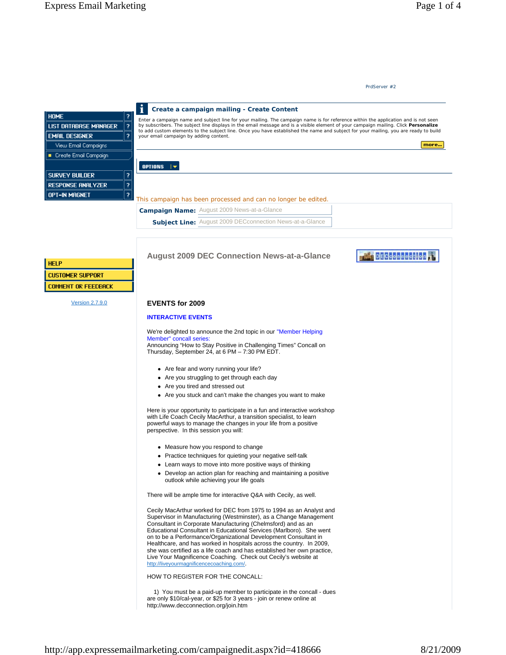### **EVENTS for 2009**

#### **INTERACTIVE EVENTS**

We're delighted to announce the 2nd topic in our "Member Helping Member" concall series:

Announcing "How to Stay Positive in Challenging Times" Concall on Thursday, September 24, at 6 PM – 7:30 PM EDT.

- Are fear and worry running your life?
- Are you struggling to get through each day
- Are you tired and stressed out
- Are you stuck and can't make the changes you want to make

Here is your opportunity to participate in a fun and interactive workshop with Life Coach Cecily MacArthur, a transition specialist, to learn powerful ways to manage the changes in your life from a positive perspective. In this session you will:

- Measure how you respond to change
- Practice techniques for quieting your negative self-talk
- Learn ways to move into more positive ways of thinking
- Develop an action plan for reaching and maintaining a positive outlook while achieving your life goals

There will be ample time for interactive Q&A with Cecily, as well.

Cecily MacArthur worked for DEC from 1975 to 1994 as an Analyst and Supervisor in Manufacturing (Westminster), as a Change Management Consultant in Corporate Manufacturing (Chelmsford) and as an Educational Consultant in Educational Services (Marlboro). She went on to be a Performance/Organizational Development Consultant in Healthcare, and has worked in hospitals across the country. In 2009, she was certified as a life coach and has established her own practice, Live Your Magnificence Coaching. Check out Cecily's website at http://liveyourmagnificencecoaching.com/.

HOW TO REGISTER FOR THE CONCALL:

 1) You must be a paid-up member to participate in the concall - dues are only \$10/cal-year, or \$25 for 3 years - join or renew online at http://www.decconnection.org/join.htm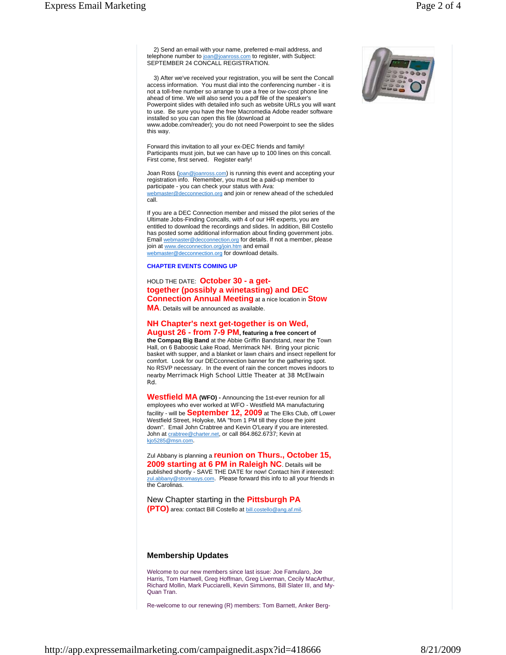2) Send an email with your name, preferred e-mail address, and telephone number to joan@joanross.com to register, with Subject: SEPTEMBER 24 CONCALL REGISTRATION.

 3) After we've received your registration, you will be sent the Concall access information. You must dial into the conferencing number - it is not a toll-free number so arrange to use a free or low-cost phone line ahead of time. We will also send you a pdf file of the speaker's Powerpoint slides with detailed info such as website URLs you will want to use. Be sure you have the free Macromedia Adobe reader software installed so you can open this file (download at www.adobe.com/reader); you do not need Powerpoint to see the slides this way.

Forward this invitation to all your ex-DEC friends and family! Participants must join, but we can have up to 100 lines on this concall. First come, first served. Register early!

Joan Ross (joan@joanross.com) is running this event and accepting your registration info. Remember, you must be a paid-up member to participate - you can check your status with Ava: webmaster@decconnection.org and join or renew ahead of the scheduled call.

If you are a DEC Connection member and missed the pilot series of the Ultimate Jobs-Finding Concalls, with 4 of our HR experts, you are entitled to download the recordings and slides. In addition, Bill Costello has posted some additional information about finding government jobs. Email webmaster@decconnection.org for details. If not a member, please join at www.decconnection.org/join.htm and email webmaster@decconnection.org for download details.

#### **CHAPTER EVENTS COMING UP**

## HOLD THE DATE: **October 30 - a gettogether (possibly a winetasting) and DEC Connection Annual Meeting** at a nice location in **Stow**

**MA**. Details will be announced as available.

## **NH Chapter's next get-together is on Wed,**

**August 26 - from 7-9 PM, featuring a free concert of the Compaq Big Band** at the Abbie Griffin Bandstand, near the Town Hall, on 6 Baboosic Lake Road, Merrimack NH. Bring your picnic basket with supper, and a blanket or lawn chairs and insect repellent for comfort. Look for our DECconnection banner for the gathering spot. No RSVP necessary. In the event of rain the concert moves indoors to nearby Merrimack High School Little Theater at 38 McElwain Rd.

**Westfield MA (WFO) -** Announcing the 1st-ever reunion for all employees who ever worked at WFO - Westfield MA manufacturing facility - will be **September 12, 2009** at The Elks Club, off Lower Westfield Street, Holyoke, MA "from 1 PM till they close the joint down". Email John Crabtree and Kevin O'Leary if you are interested. John at crabtree@charter.net, or call 864.862.6737; Kevin at kjo5285@msn.com.

Zul Abbany is planning a **reunion on Thurs., October 15, 2009 starting at 6 PM in Raleigh NC**. Details will be published shortly - SAVE THE DATE for now! Contact him if interested: zul.abbany@stromasys.com. Please forward this info to all your friends in the Carolinas.

New Chapter starting in the **Pittsburgh PA (PTO)** area: contact Bill Costello at bill.costello@ang.af.mil.

### **Membership Updates**

Welcome to our new members since last issue: Joe Famularo, Joe Harris, Tom Hartwell, Greg Hoffman, Greg Liverman, Cecily MacArthur, Richard Mollin, Mark Pucciarelli, Kevin Simmons, Bill Slater III, and My-Quan Tran.

Re-welcome to our renewing (R) members: Tom Barnett, Anker Berg-